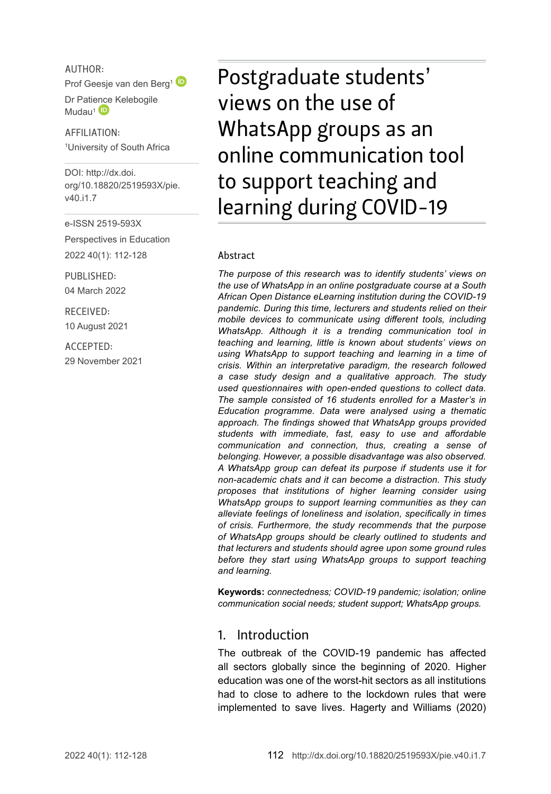AUTHOR: Prof Geesje van den Berg<sup>1</sup>

Dr Pati[ence](http://orcid.org/0000-0002-5389-6942) Kelebogile  $Mudau<sup>1</sup>$ <sup>D</sup>

AFFILIATION: 1 University of South Africa

DOI: [http://dx.doi.](http://dx.doi.org/10.18820/2519593X/pie.v40.i1.7) [org/10.18820/2519593X/p](http://dx.doi.org/10.18820/2519593X/pie.v40.i1.7)ie. v40.i1.7

e-ISSN 2519-593X Perspectives in Education 2022 40(1): 112-128

PUBLISHED: 04 March 2022

RECEIVED: 10 August 2021

ACCEPTED: 29 November 2021 Postgraduate students' views on the use of WhatsApp groups as an online communication tool to support teaching and learning during COVID-19

#### Abstract

*The purpose of this research was to identify students' views on the use of WhatsApp in an online postgraduate course at a South African Open Distance eLearning institution during the COVID-19 pandemic. During this time, lecturers and students relied on their mobile devices to communicate using different tools, including WhatsApp. Although it is a trending communication tool in teaching and learning, little is known about students' views on using WhatsApp to support teaching and learning in a time of crisis. Within an interpretative paradigm, the research followed a case study design and a qualitative approach. The study used questionnaires with open-ended questions to collect data. The sample consisted of 16 students enrolled for a Master's in Education programme. Data were analysed using a thematic approach. The findings showed that WhatsApp groups provided students with immediate, fast, easy to use and affordable communication and connection, thus, creating a sense of belonging. However, a possible disadvantage was also observed. A WhatsApp group can defeat its purpose if students use it for non-academic chats and it can become a distraction. This study proposes that institutions of higher learning consider using WhatsApp groups to support learning communities as they can alleviate feelings of loneliness and isolation, specifically in times of crisis. Furthermore, the study recommends that the purpose of WhatsApp groups should be clearly outlined to students and that lecturers and students should agree upon some ground rules before they start using WhatsApp groups to support teaching and learning.*

**Keywords:** *connectedness; COVID-19 pandemic; isolation; online communication social needs; student support; WhatsApp groups.* 

#### 1. Introduction

The outbreak of the COVID-19 pandemic has affected all sectors globally since the beginning of 2020. Higher education was one of the worst-hit sectors as all institutions had to close to adhere to the lockdown rules that were implemented to save lives. Hagerty and Williams (2020)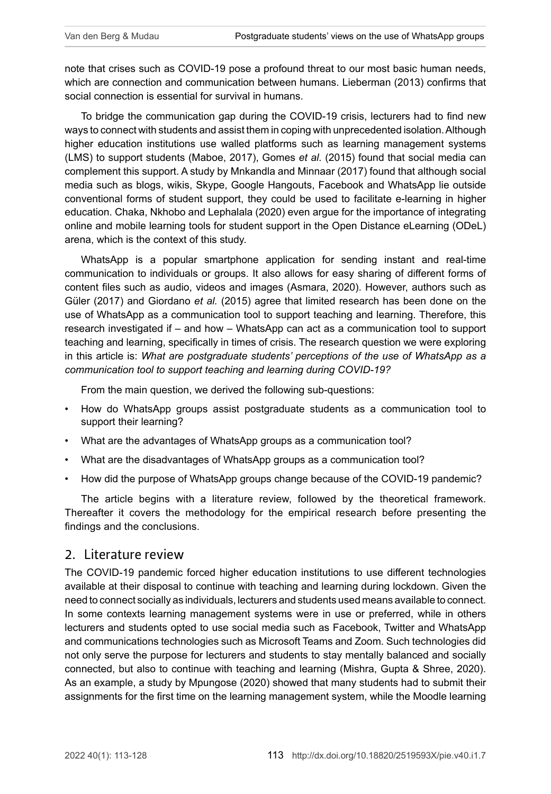note that crises such as COVID-19 pose a profound threat to our most basic human needs, which are connection and communication between humans. Lieberman (2013) confirms that social connection is essential for survival in humans.

To bridge the communication gap during the COVID-19 crisis, lecturers had to find new ways to connect with students and assist them in coping with unprecedented isolation. Although higher education institutions use walled platforms such as learning management systems (LMS) to support students (Maboe, 2017), Gomes *et al.* (2015) found that social media can complement this support. A study by Mnkandla and Minnaar (2017) found that although social media such as blogs, wikis, Skype, Google Hangouts, Facebook and WhatsApp lie outside conventional forms of student support, they could be used to facilitate e-learning in higher education. Chaka, Nkhobo and Lephalala (2020) even argue for the importance of integrating online and mobile learning tools for student support in the Open Distance eLearning (ODeL) arena, which is the context of this study.

WhatsApp is a popular smartphone application for sending instant and real-time communication to individuals or groups. It also allows for easy sharing of different forms of content files such as audio, videos and images (Asmara, 2020). However, authors such as Güler (2017) and Giordano *et al.* (2015) agree that limited research has been done on the use of WhatsApp as a communication tool to support teaching and learning. Therefore, this research investigated if – and how – WhatsApp can act as a communication tool to support teaching and learning, specifically in times of crisis. The research question we were exploring in this article is: *What are postgraduate students' perceptions of the use of WhatsApp as a communication tool to support teaching and learning during COVID-19?*

From the main question, we derived the following sub-questions:

- How do WhatsApp groups assist postgraduate students as a communication tool to support their learning?
- What are the advantages of WhatsApp groups as a communication tool?
- What are the disadvantages of WhatsApp groups as a communication tool?
- How did the purpose of WhatsApp groups change because of the COVID-19 pandemic?

The article begins with a literature review, followed by the theoretical framework. Thereafter it covers the methodology for the empirical research before presenting the findings and the conclusions.

#### 2. Literature review

The COVID-19 pandemic forced higher education institutions to use different technologies available at their disposal to continue with teaching and learning during lockdown. Given the need to connect socially as individuals, lecturers and students used means available to connect. In some contexts learning management systems were in use or preferred, while in others lecturers and students opted to use social media such as Facebook, Twitter and WhatsApp and communications technologies such as Microsoft Teams and Zoom. Such technologies did not only serve the purpose for lecturers and students to stay mentally balanced and socially connected, but also to continue with teaching and learning (Mishra, Gupta & Shree, 2020). As an example, a study by Mpungose (2020) showed that many students had to submit their assignments for the first time on the learning management system, while the Moodle learning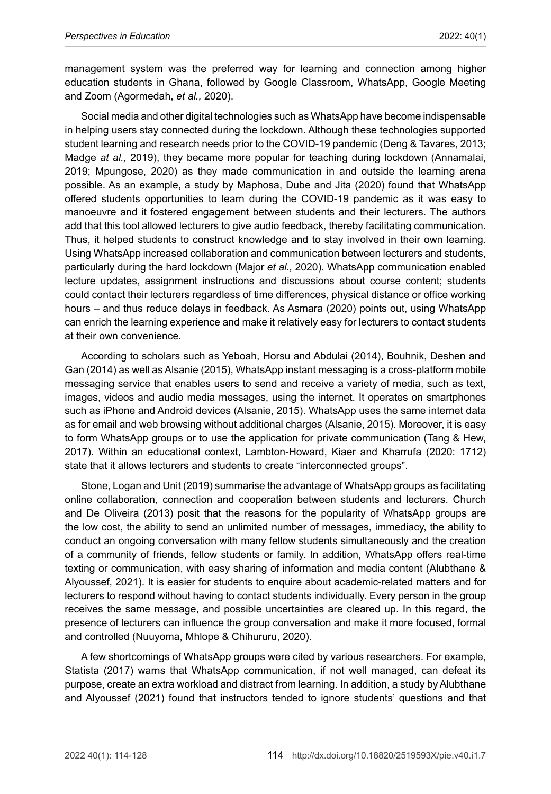management system was the preferred way for learning and connection among higher education students in Ghana, followed by Google Classroom, WhatsApp, Google Meeting and Zoom (Agormedah, *et al.,* 2020).

Social media and other digital technologies such as WhatsApp have become indispensable in helping users stay connected during the lockdown. Although these technologies supported student learning and research needs prior to the COVID-19 pandemic (Deng & Tavares, 2013; Madge *at al.,* 2019), they became more popular for teaching during lockdown (Annamalai, 2019; Mpungose, 2020) as they made communication in and outside the learning arena possible. As an example, a study by Maphosa, Dube and Jita (2020) found that WhatsApp offered students opportunities to learn during the COVID-19 pandemic as it was easy to manoeuvre and it fostered engagement between students and their lecturers. The authors add that this tool allowed lecturers to give audio feedback, thereby facilitating communication. Thus, it helped students to construct knowledge and to stay involved in their own learning. Using WhatsApp increased collaboration and communication between lecturers and students, particularly during the hard lockdown (Major *et al.,* 2020). WhatsApp communication enabled lecture updates, assignment instructions and discussions about course content; students could contact their lecturers regardless of time differences, physical distance or office working hours – and thus reduce delays in feedback. As Asmara (2020) points out, using WhatsApp can enrich the learning experience and make it relatively easy for lecturers to contact students at their own convenience.

According to scholars such as Yeboah, Horsu and Abdulai (2014), Bouhnik, Deshen and Gan (2014) as well as Alsanie (2015), WhatsApp instant messaging is a cross-platform mobile messaging service that enables users to send and receive a variety of media, such as text, images, videos and audio media messages, using the internet. It operates on smartphones such as iPhone and Android devices (Alsanie, 2015). WhatsApp uses the same internet data as for email and web browsing without additional charges (Alsanie, 2015). Moreover, it is easy to form WhatsApp groups or to use the application for private communication (Tang & Hew, 2017). Within an educational context, Lambton-Howard, Kiaer and Kharrufa (2020: 1712) state that it allows lecturers and students to create "interconnected groups".

Stone, Logan and Unit (2019) summarise the advantage of WhatsApp groups as facilitating online collaboration, connection and cooperation between students and lecturers. Church and De Oliveira (2013) posit that the reasons for the popularity of WhatsApp groups are the low cost, the ability to send an unlimited number of messages, immediacy, the ability to conduct an ongoing conversation with many fellow students simultaneously and the creation of a community of friends, fellow students or family. In addition, WhatsApp offers real-time texting or communication, with easy sharing of information and media content (Alubthane & Alyoussef, 2021). It is easier for students to enquire about academic-related matters and for lecturers to respond without having to contact students individually. Every person in the group receives the same message, and possible uncertainties are cleared up. In this regard, the presence of lecturers can influence the group conversation and make it more focused, formal and controlled (Nuuyoma, Mhlope & Chihururu, 2020).

A few shortcomings of WhatsApp groups were cited by various researchers. For example, Statista (2017) warns that WhatsApp communication, if not well managed, can defeat its purpose, create an extra workload and distract from learning. In addition, a study by Alubthane and Alyoussef (2021) found that instructors tended to ignore students' questions and that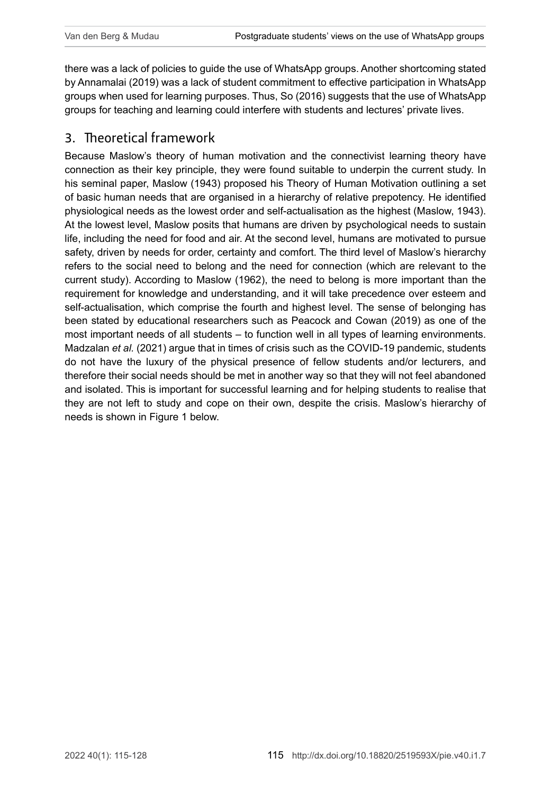there was a lack of policies to guide the use of WhatsApp groups. Another shortcoming stated by Annamalai (2019) was a lack of student commitment to effective participation in WhatsApp groups when used for learning purposes. Thus, So (2016) suggests that the use of WhatsApp groups for teaching and learning could interfere with students and lectures' private lives.

### 3. Theoretical framework

Because Maslow's theory of human motivation and the connectivist learning theory have connection as their key principle, they were found suitable to underpin the current study. In his seminal paper, Maslow (1943) proposed his Theory of Human Motivation outlining a set of basic human needs that are organised in a hierarchy of relative prepotency. He identified physiological needs as the lowest order and self-actualisation as the highest (Maslow, 1943). At the lowest level, Maslow posits that humans are driven by psychological needs to sustain life, including the need for food and air. At the second level, humans are motivated to pursue safety, driven by needs for order, certainty and comfort. The third level of Maslow's hierarchy refers to the social need to belong and the need for connection (which are relevant to the current study). According to Maslow (1962), the need to belong is more important than the requirement for knowledge and understanding, and it will take precedence over esteem and self-actualisation, which comprise the fourth and highest level. The sense of belonging has been stated by educational researchers such as Peacock and Cowan (2019) as one of the most important needs of all students – to function well in all types of learning environments. Madzalan *et al.* (2021) argue that in times of crisis such as the COVID-19 pandemic, students do not have the luxury of the physical presence of fellow students and/or lecturers, and therefore their social needs should be met in another way so that they will not feel abandoned and isolated. This is important for successful learning and for helping students to realise that they are not left to study and cope on their own, despite the crisis. Maslow's hierarchy of needs is shown in Figure 1 below.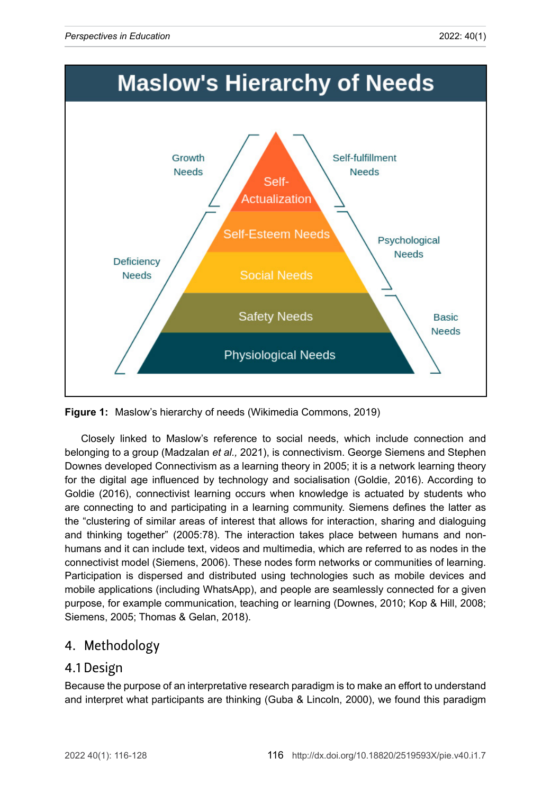

**Figure 1:** Maslow's hierarchy of needs (Wikimedia Commons, 2019)

Closely linked to Maslow's reference to social needs, which include connection and belonging to a group (Madzalan *et al.,* 2021), is connectivism. George Siemens and Stephen Downes developed Connectivism as a learning theory in 2005; it is a network learning theory for the digital age influenced by technology and socialisation (Goldie, 2016). According to Goldie (2016), connectivist learning occurs when knowledge is actuated by students who are connecting to and participating in a learning community. Siemens defines the latter as the "clustering of similar areas of interest that allows for interaction, sharing and dialoguing and thinking together" (2005:78). The interaction takes place between humans and nonhumans and it can include text, videos and multimedia, which are referred to as nodes in the connectivist model (Siemens, 2006). These nodes form networks or communities of learning. Participation is dispersed and distributed using technologies such as mobile devices and mobile applications (including WhatsApp), and people are seamlessly connected for a given purpose, for example communication, teaching or learning (Downes, 2010; Kop & Hill, 2008; Siemens, 2005; Thomas & Gelan, 2018).

### 4. Methodology

### 4.1 Design

Because the purpose of an interpretative research paradigm is to make an effort to understand and interpret what participants are thinking (Guba & Lincoln, 2000), we found this paradigm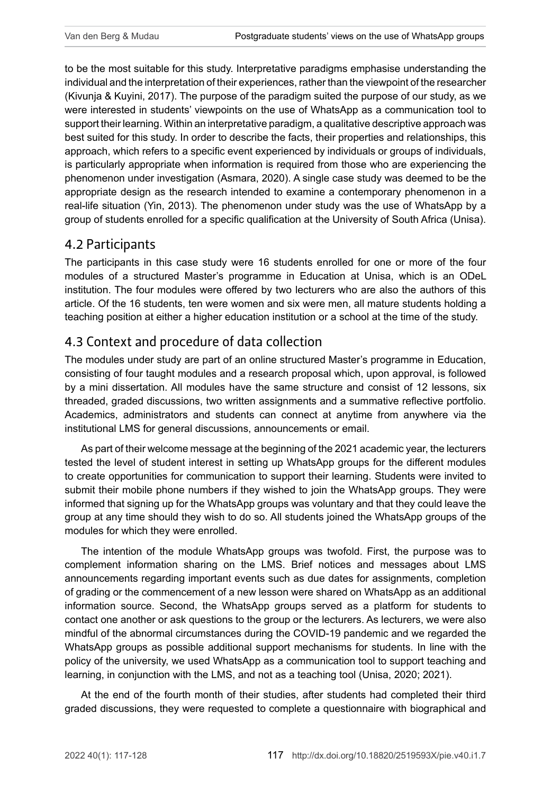to be the most suitable for this study. Interpretative paradigms emphasise understanding the individual and the interpretation of their experiences, rather than the viewpoint of the researcher (Kivunja & Kuyini, 2017). The purpose of the paradigm suited the purpose of our study, as we were interested in students' viewpoints on the use of WhatsApp as a communication tool to support their learning. Within an interpretative paradigm, a qualitative descriptive approach was best suited for this study. In order to describe the facts, their properties and relationships, this approach, which refers to a specific event experienced by individuals or groups of individuals, is particularly appropriate when information is required from those who are experiencing the phenomenon under investigation (Asmara, 2020). A single case study was deemed to be the appropriate design as the research intended to examine a contemporary phenomenon in a real-life situation (Yin, 2013). The phenomenon under study was the use of WhatsApp by a group of students enrolled for a specific qualification at the University of South Africa (Unisa).

## 4.2 Participants

The participants in this case study were 16 students enrolled for one or more of the four modules of a structured Master's programme in Education at Unisa, which is an ODeL institution. The four modules were offered by two lecturers who are also the authors of this article. Of the 16 students, ten were women and six were men, all mature students holding a teaching position at either a higher education institution or a school at the time of the study.

# 4.3 Context and procedure of data collection

The modules under study are part of an online structured Master's programme in Education, consisting of four taught modules and a research proposal which, upon approval, is followed by a mini dissertation. All modules have the same structure and consist of 12 lessons, six threaded, graded discussions, two written assignments and a summative reflective portfolio. Academics, administrators and students can connect at anytime from anywhere via the institutional LMS for general discussions, announcements or email.

As part of their welcome message at the beginning of the 2021 academic year, the lecturers tested the level of student interest in setting up WhatsApp groups for the different modules to create opportunities for communication to support their learning. Students were invited to submit their mobile phone numbers if they wished to join the WhatsApp groups. They were informed that signing up for the WhatsApp groups was voluntary and that they could leave the group at any time should they wish to do so. All students joined the WhatsApp groups of the modules for which they were enrolled.

The intention of the module WhatsApp groups was twofold. First, the purpose was to complement information sharing on the LMS. Brief notices and messages about LMS announcements regarding important events such as due dates for assignments, completion of grading or the commencement of a new lesson were shared on WhatsApp as an additional information source. Second, the WhatsApp groups served as a platform for students to contact one another or ask questions to the group or the lecturers. As lecturers, we were also mindful of the abnormal circumstances during the COVID-19 pandemic and we regarded the WhatsApp groups as possible additional support mechanisms for students. In line with the policy of the university, we used WhatsApp as a communication tool to support teaching and learning, in conjunction with the LMS, and not as a teaching tool (Unisa, 2020; 2021).

At the end of the fourth month of their studies, after students had completed their third graded discussions, they were requested to complete a questionnaire with biographical and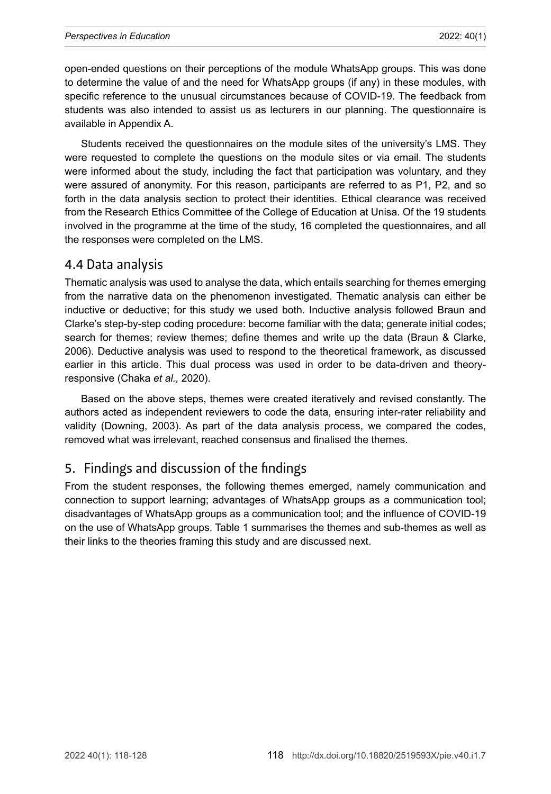open-ended questions on their perceptions of the module WhatsApp groups. This was done to determine the value of and the need for WhatsApp groups (if any) in these modules, with specific reference to the unusual circumstances because of COVID-19. The feedback from students was also intended to assist us as lecturers in our planning. The questionnaire is available in Appendix A.

Students received the questionnaires on the module sites of the university's LMS. They were requested to complete the questions on the module sites or via email. The students were informed about the study, including the fact that participation was voluntary, and they were assured of anonymity. For this reason, participants are referred to as P1, P2, and so forth in the data analysis section to protect their identities. Ethical clearance was received from the Research Ethics Committee of the College of Education at Unisa. Of the 19 students involved in the programme at the time of the study, 16 completed the questionnaires, and all the responses were completed on the LMS.

#### 4.4 Data analysis

Thematic analysis was used to analyse the data, which entails searching for themes emerging from the narrative data on the phenomenon investigated. Thematic analysis can either be inductive or deductive; for this study we used both. Inductive analysis followed Braun and Clarke's step-by-step coding procedure: become familiar with the data; generate initial codes; search for themes; review themes; define themes and write up the data (Braun & Clarke, 2006). Deductive analysis was used to respond to the theoretical framework, as discussed earlier in this article. This dual process was used in order to be data-driven and theoryresponsive (Chaka *et al.,* 2020).

Based on the above steps, themes were created iteratively and revised constantly. The authors acted as independent reviewers to code the data, ensuring inter-rater reliability and validity (Downing, 2003). As part of the data analysis process, we compared the codes, removed what was irrelevant, reached consensus and finalised the themes.

### 5. Findings and discussion of the findings

From the student responses, the following themes emerged, namely communication and connection to support learning; advantages of WhatsApp groups as a communication tool; disadvantages of WhatsApp groups as a communication tool; and the influence of COVID-19 on the use of WhatsApp groups. Table 1 summarises the themes and sub-themes as well as their links to the theories framing this study and are discussed next.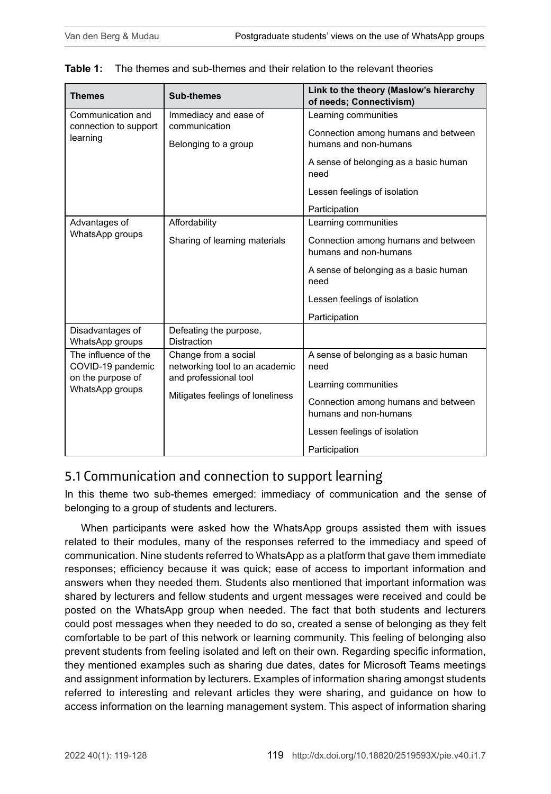| <b>Themes</b>                                          | <b>Sub-themes</b>                                                                                                   | Link to the theory (Maslow's hierarchy<br>of needs; Connectivism) |
|--------------------------------------------------------|---------------------------------------------------------------------------------------------------------------------|-------------------------------------------------------------------|
| Communication and<br>connection to support<br>learning | Immediacy and ease of                                                                                               | Learning communities                                              |
|                                                        | communication<br>Belonging to a group                                                                               | Connection among humans and between<br>humans and non-humans      |
|                                                        |                                                                                                                     | A sense of belonging as a basic human<br>need                     |
|                                                        |                                                                                                                     | Lessen feelings of isolation                                      |
|                                                        |                                                                                                                     | Participation                                                     |
| Advantages of<br>WhatsApp groups                       | Affordability                                                                                                       | Learning communities                                              |
|                                                        | Sharing of learning materials                                                                                       | Connection among humans and between<br>humans and non-humans      |
|                                                        |                                                                                                                     | A sense of belonging as a basic human<br>need                     |
|                                                        |                                                                                                                     | Lessen feelings of isolation                                      |
|                                                        |                                                                                                                     | Participation                                                     |
| Disadvantages of<br>WhatsApp groups                    | Defeating the purpose,<br><b>Distraction</b>                                                                        |                                                                   |
| The influence of the<br>COVID-19 pandemic              | Change from a social<br>networking tool to an academic<br>and professional tool<br>Mitigates feelings of loneliness | A sense of belonging as a basic human<br>need                     |
| on the purpose of<br>WhatsApp groups                   |                                                                                                                     |                                                                   |
|                                                        |                                                                                                                     | Learning communities                                              |
|                                                        |                                                                                                                     | Connection among humans and between<br>humans and non-humans      |
|                                                        |                                                                                                                     | Lessen feelings of isolation                                      |
|                                                        |                                                                                                                     | Participation                                                     |

| <b>Table 1:</b> The themes and sub-themes and their relation to the relevant theories |  |  |  |
|---------------------------------------------------------------------------------------|--|--|--|
|---------------------------------------------------------------------------------------|--|--|--|

### 5.1 Communication and connection to support learning

In this theme two sub-themes emerged: immediacy of communication and the sense of belonging to a group of students and lecturers.

When participants were asked how the WhatsApp groups assisted them with issues related to their modules, many of the responses referred to the immediacy and speed of communication. Nine students referred to WhatsApp as a platform that gave them immediate responses; efficiency because it was quick; ease of access to important information and answers when they needed them. Students also mentioned that important information was shared by lecturers and fellow students and urgent messages were received and could be posted on the WhatsApp group when needed. The fact that both students and lecturers could post messages when they needed to do so, created a sense of belonging as they felt comfortable to be part of this network or learning community. This feeling of belonging also prevent students from feeling isolated and left on their own. Regarding specific information, they mentioned examples such as sharing due dates, dates for Microsoft Teams meetings and assignment information by lecturers. Examples of information sharing amongst students referred to interesting and relevant articles they were sharing, and guidance on how to access information on the learning management system. This aspect of information sharing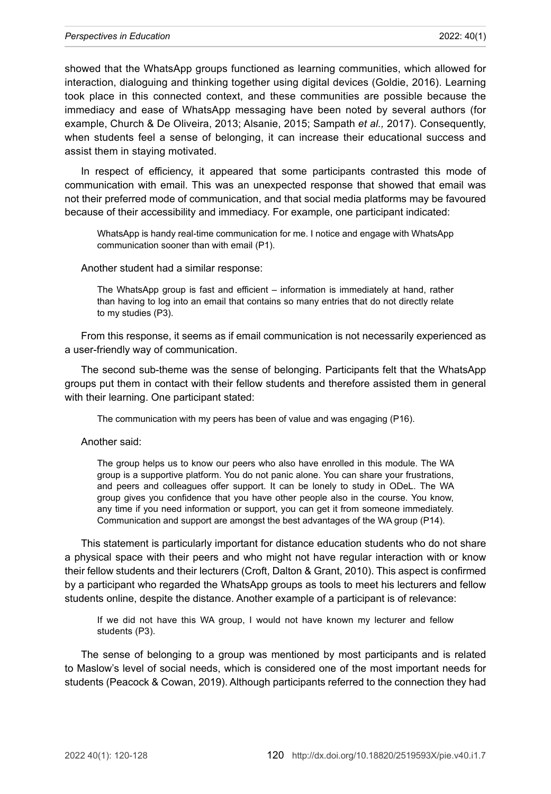showed that the WhatsApp groups functioned as learning communities, which allowed for interaction, dialoguing and thinking together using digital devices (Goldie, 2016). Learning took place in this connected context, and these communities are possible because the immediacy and ease of WhatsApp messaging have been noted by several authors (for example, Church & De Oliveira, 2013; Alsanie, 2015; Sampath *et al.,* 2017). Consequently, when students feel a sense of belonging, it can increase their educational success and assist them in staying motivated.

In respect of efficiency, it appeared that some participants contrasted this mode of communication with email. This was an unexpected response that showed that email was not their preferred mode of communication, and that social media platforms may be favoured because of their accessibility and immediacy. For example, one participant indicated:

WhatsApp is handy real-time communication for me. I notice and engage with WhatsApp communication sooner than with email (P1).

Another student had a similar response:

The WhatsApp group is fast and efficient – information is immediately at hand, rather than having to log into an email that contains so many entries that do not directly relate to my studies (P3).

From this response, it seems as if email communication is not necessarily experienced as a user-friendly way of communication.

The second sub-theme was the sense of belonging. Participants felt that the WhatsApp groups put them in contact with their fellow students and therefore assisted them in general with their learning. One participant stated:

The communication with my peers has been of value and was engaging (P16).

Another said:

The group helps us to know our peers who also have enrolled in this module. The WA group is a supportive platform. You do not panic alone. You can share your frustrations, and peers and colleagues offer support. It can be lonely to study in ODeL. The WA group gives you confidence that you have other people also in the course. You know, any time if you need information or support, you can get it from someone immediately. Communication and support are amongst the best advantages of the WA group (P14).

This statement is particularly important for distance education students who do not share a physical space with their peers and who might not have regular interaction with or know their fellow students and their lecturers (Croft, Dalton & Grant, 2010). This aspect is confirmed by a participant who regarded the WhatsApp groups as tools to meet his lecturers and fellow students online, despite the distance. Another example of a participant is of relevance:

If we did not have this WA group, I would not have known my lecturer and fellow students (P3).

The sense of belonging to a group was mentioned by most participants and is related to Maslow's level of social needs, which is considered one of the most important needs for students (Peacock & Cowan, 2019). Although participants referred to the connection they had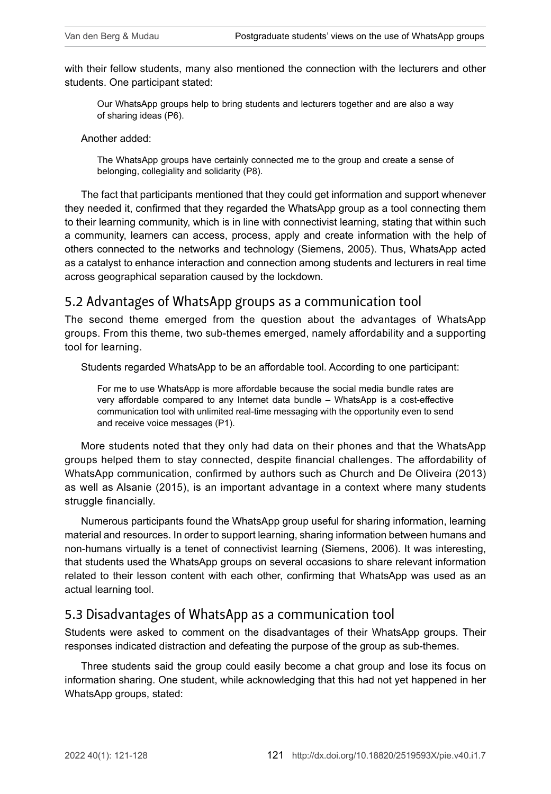with their fellow students, many also mentioned the connection with the lecturers and other students. One participant stated:

Our WhatsApp groups help to bring students and lecturers together and are also a way of sharing ideas (P6).

Another added:

The WhatsApp groups have certainly connected me to the group and create a sense of belonging, collegiality and solidarity (P8).

The fact that participants mentioned that they could get information and support whenever they needed it, confirmed that they regarded the WhatsApp group as a tool connecting them to their learning community, which is in line with connectivist learning, stating that within such a community, learners can access, process, apply and create information with the help of others connected to the networks and technology (Siemens, 2005). Thus, WhatsApp acted as a catalyst to enhance interaction and connection among students and lecturers in real time across geographical separation caused by the lockdown.

### 5.2 Advantages of WhatsApp groups as a communication tool

The second theme emerged from the question about the advantages of WhatsApp groups. From this theme, two sub-themes emerged, namely affordability and a supporting tool for learning.

Students regarded WhatsApp to be an affordable tool. According to one participant:

For me to use WhatsApp is more affordable because the social media bundle rates are very affordable compared to any Internet data bundle – WhatsApp is a cost-effective communication tool with unlimited real-time messaging with the opportunity even to send and receive voice messages (P1).

More students noted that they only had data on their phones and that the WhatsApp groups helped them to stay connected, despite financial challenges. The affordability of WhatsApp communication, confirmed by authors such as Church and De Oliveira (2013) as well as Alsanie (2015), is an important advantage in a context where many students struggle financially.

Numerous participants found the WhatsApp group useful for sharing information, learning material and resources. In order to support learning, sharing information between humans and non-humans virtually is a tenet of connectivist learning (Siemens, 2006). It was interesting, that students used the WhatsApp groups on several occasions to share relevant information related to their lesson content with each other, confirming that WhatsApp was used as an actual learning tool.

### 5.3 Disadvantages of WhatsApp as a communication tool

Students were asked to comment on the disadvantages of their WhatsApp groups. Their responses indicated distraction and defeating the purpose of the group as sub-themes.

Three students said the group could easily become a chat group and lose its focus on information sharing. One student, while acknowledging that this had not yet happened in her WhatsApp groups, stated: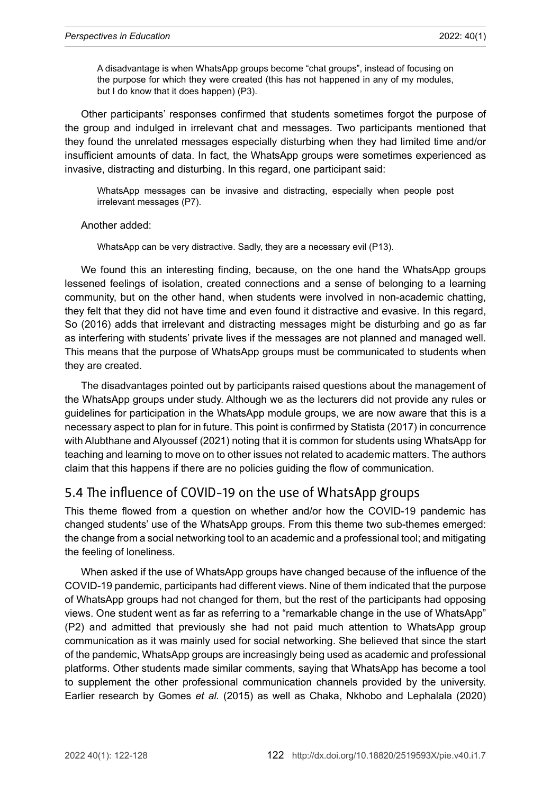A disadvantage is when WhatsApp groups become "chat groups", instead of focusing on the purpose for which they were created (this has not happened in any of my modules, but I do know that it does happen) (P3).

Other participants' responses confirmed that students sometimes forgot the purpose of the group and indulged in irrelevant chat and messages. Two participants mentioned that they found the unrelated messages especially disturbing when they had limited time and/or insufficient amounts of data. In fact, the WhatsApp groups were sometimes experienced as invasive, distracting and disturbing. In this regard, one participant said:

WhatsApp messages can be invasive and distracting, especially when people post irrelevant messages (P7).

Another added:

WhatsApp can be very distractive. Sadly, they are a necessary evil (P13).

We found this an interesting finding, because, on the one hand the WhatsApp groups lessened feelings of isolation, created connections and a sense of belonging to a learning community, but on the other hand, when students were involved in non-academic chatting, they felt that they did not have time and even found it distractive and evasive. In this regard, So (2016) adds that irrelevant and distracting messages might be disturbing and go as far as interfering with students' private lives if the messages are not planned and managed well. This means that the purpose of WhatsApp groups must be communicated to students when they are created.

The disadvantages pointed out by participants raised questions about the management of the WhatsApp groups under study. Although we as the lecturers did not provide any rules or guidelines for participation in the WhatsApp module groups, we are now aware that this is a necessary aspect to plan for in future. This point is confirmed by Statista (2017) in concurrence with Alubthane and Alyoussef (2021) noting that it is common for students using WhatsApp for teaching and learning to move on to other issues not related to academic matters. The authors claim that this happens if there are no policies guiding the flow of communication.

#### 5.4 The influence of COVID-19 on the use of WhatsApp groups

This theme flowed from a question on whether and/or how the COVID-19 pandemic has changed students' use of the WhatsApp groups. From this theme two sub-themes emerged: the change from a social networking tool to an academic and a professional tool; and mitigating the feeling of loneliness.

When asked if the use of WhatsApp groups have changed because of the influence of the COVID-19 pandemic, participants had different views. Nine of them indicated that the purpose of WhatsApp groups had not changed for them, but the rest of the participants had opposing views. One student went as far as referring to a "remarkable change in the use of WhatsApp" (P2) and admitted that previously she had not paid much attention to WhatsApp group communication as it was mainly used for social networking. She believed that since the start of the pandemic, WhatsApp groups are increasingly being used as academic and professional platforms. Other students made similar comments, saying that WhatsApp has become a tool to supplement the other professional communication channels provided by the university. Earlier research by Gomes *et al.* (2015) as well as Chaka, Nkhobo and Lephalala (2020)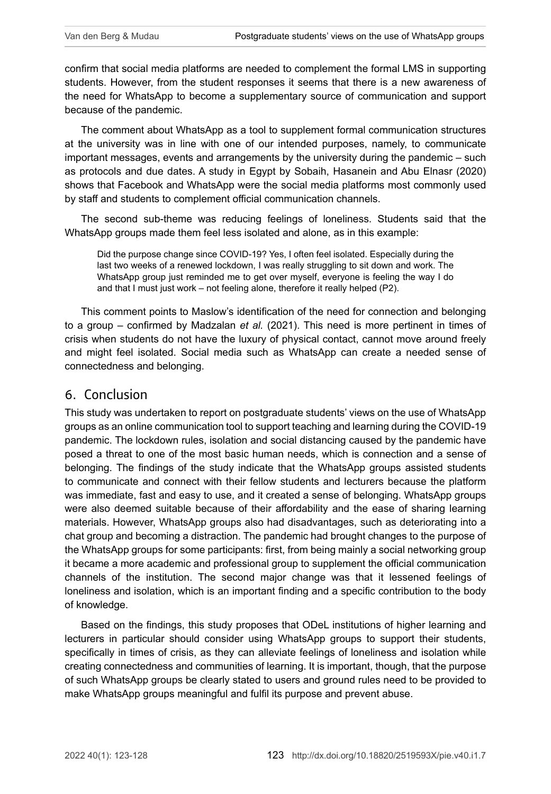confirm that social media platforms are needed to complement the formal LMS in supporting students. However, from the student responses it seems that there is a new awareness of the need for WhatsApp to become a supplementary source of communication and support because of the pandemic.

The comment about WhatsApp as a tool to supplement formal communication structures at the university was in line with one of our intended purposes, namely, to communicate important messages, events and arrangements by the university during the pandemic – such as protocols and due dates. A study in Egypt by Sobaih, Hasanein and Abu Elnasr (2020) shows that Facebook and WhatsApp were the social media platforms most commonly used by staff and students to complement official communication channels.

The second sub-theme was reducing feelings of loneliness. Students said that the WhatsApp groups made them feel less isolated and alone, as in this example:

Did the purpose change since COVID-19? Yes, I often feel isolated. Especially during the last two weeks of a renewed lockdown, I was really struggling to sit down and work. The WhatsApp group just reminded me to get over myself, everyone is feeling the way I do and that I must just work – not feeling alone, therefore it really helped (P2).

This comment points to Maslow's identification of the need for connection and belonging to a group – confirmed by Madzalan *et al.* (2021). This need is more pertinent in times of crisis when students do not have the luxury of physical contact, cannot move around freely and might feel isolated. Social media such as WhatsApp can create a needed sense of connectedness and belonging.

#### 6. Conclusion

This study was undertaken to report on postgraduate students' views on the use of WhatsApp groups as an online communication tool to support teaching and learning during the COVID-19 pandemic. The lockdown rules, isolation and social distancing caused by the pandemic have posed a threat to one of the most basic human needs, which is connection and a sense of belonging. The findings of the study indicate that the WhatsApp groups assisted students to communicate and connect with their fellow students and lecturers because the platform was immediate, fast and easy to use, and it created a sense of belonging. WhatsApp groups were also deemed suitable because of their affordability and the ease of sharing learning materials. However, WhatsApp groups also had disadvantages, such as deteriorating into a chat group and becoming a distraction. The pandemic had brought changes to the purpose of the WhatsApp groups for some participants: first, from being mainly a social networking group it became a more academic and professional group to supplement the official communication channels of the institution. The second major change was that it lessened feelings of loneliness and isolation, which is an important finding and a specific contribution to the body of knowledge.

Based on the findings, this study proposes that ODeL institutions of higher learning and lecturers in particular should consider using WhatsApp groups to support their students, specifically in times of crisis, as they can alleviate feelings of loneliness and isolation while creating connectedness and communities of learning. It is important, though, that the purpose of such WhatsApp groups be clearly stated to users and ground rules need to be provided to make WhatsApp groups meaningful and fulfil its purpose and prevent abuse.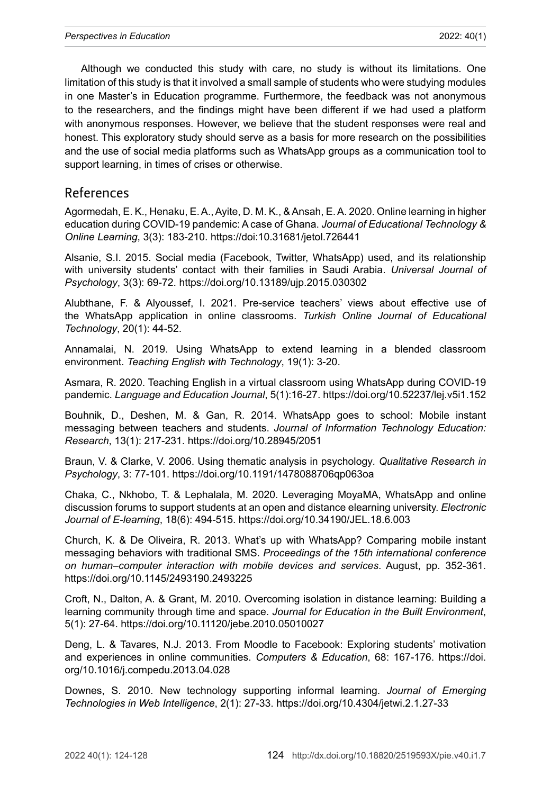Although we conducted this study with care, no study is without its limitations. One limitation of this study is that it involved a small sample of students who were studying modules in one Master's in Education programme. Furthermore, the feedback was not anonymous to the researchers, and the findings might have been different if we had used a platform with anonymous responses. However, we believe that the student responses were real and honest. This exploratory study should serve as a basis for more research on the possibilities and the use of social media platforms such as WhatsApp groups as a communication tool to support learning, in times of crises or otherwise.

#### References

Agormedah, E. K., Henaku, E. A., Ayite, D. M. K., & Ansah, E. A. 2020. Online learning in higher education during COVID-19 pandemic: A case of Ghana. *Journal of Educational Technology & Online Learning*, 3(3): 183-210.<https://doi:10.31681/jetol.726441>

Alsanie, S.I. 2015. Social media (Facebook, Twitter, WhatsApp) used, and its relationship with university students' contact with their families in Saudi Arabia. *Universal Journal of Psychology*, 3(3): 69-72. <https://doi.org/10.13189/ujp.2015.030302>

Alubthane, F. & Alyoussef, I. 2021. Pre-service teachers' views about effective use of the WhatsApp application in online classrooms. *Turkish Online Journal of Educational Technology*, 20(1): 44-52.

Annamalai, N. 2019. Using WhatsApp to extend learning in a blended classroom environment. *Teaching English with Technology*, 19(1): 3-20.

Asmara, R. 2020. Teaching English in a virtual classroom using WhatsApp during COVID-19 pandemic. *Language and Education Journal*, 5(1):16-27. <https://doi.org/10.52237/lej.v5i1.152>

Bouhnik, D., Deshen, M. & Gan, R. 2014. WhatsApp goes to school: Mobile instant messaging between teachers and students. *Journal of Information Technology Education: Research*, 13(1): 217-231.<https://doi.org/10.28945/2051>

Braun, V. & Clarke, V. 2006. Using thematic analysis in psychology*. Qualitative Research in Psychology*, 3: 77‑101. <https://doi.org/10.1191/1478088706qp063oa>

Chaka, C., Nkhobo, T. & Lephalala, M. 2020. Leveraging MoyaMA, WhatsApp and online discussion forums to support students at an open and distance elearning university. *Electronic Journal of E-learning*, 18(6): 494-515. <https://doi.org/10.34190/JEL.18.6.003>

Church, K. & De Oliveira, R. 2013. What's up with WhatsApp? Comparing mobile instant messaging behaviors with traditional SMS. *Proceedings of the 15th international conference on human–computer interaction with mobile devices and services*. August, pp. 352-361. <https://doi.org/10.1145/2493190.2493225>

Croft, N., Dalton, A. & Grant, M. 2010. Overcoming isolation in distance learning: Building a learning community through time and space. *Journal for Education in the Built Environment*, 5(1): 27-64. <https://doi.org/10.11120/jebe.2010.05010027>

Deng, L. & Tavares, N.J. 2013. From Moodle to Facebook: Exploring students' motivation and experiences in online communities. *Computers & Education*, 68: 167-176. [https://doi.](https://doi.org/10.1016/j.compedu.2013.04.028) [org/10.1016/j.compedu.2013.04.028](https://doi.org/10.1016/j.compedu.2013.04.028)

Downes, S. 2010. New technology supporting informal learning. *Journal of Emerging Technologies in Web Intelligence*, 2(1): 27-33. <https://doi.org/10.4304/jetwi.2.1.27-33>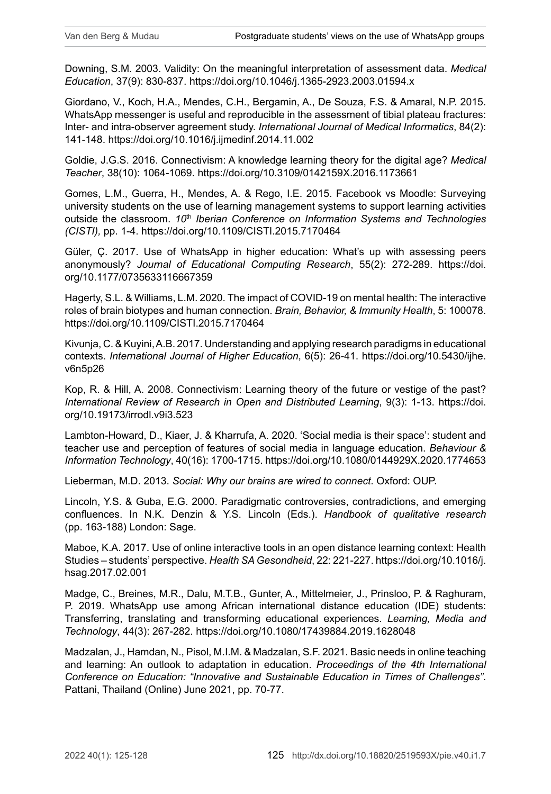Downing, S.M. 2003. Validity: On the meaningful interpretation of assessment data. *Medical Education*, 37(9): 830-837. <https://doi.org/10.1046/j.1365-2923.2003.01594.x>

Giordano, V., Koch, H.A., Mendes, C.H., Bergamin, A., De Souza, F.S. & Amaral, N.P. 2015. WhatsApp messenger is useful and reproducible in the assessment of tibial plateau fractures: Inter- and intra-observer agreement study. *International Journal of Medical Informatics*, 84(2): 141-148. <https://doi.org/10.1016/j.ijmedinf.2014.11.002>

Goldie, J.G.S. 2016. Connectivism: A knowledge learning theory for the digital age? *Medical Teacher*, 38(10): 1064-1069. <https://doi.org/10.3109/0142159X.2016.1173661>

Gomes, L.M., Guerra, H., Mendes, A. & Rego, I.E. 2015. Facebook vs Moodle: Surveying university students on the use of learning management systems to support learning activities outside the classroom. *10*th *Iberian Conference on Information Systems and Technologies (CISTI),* pp. 1-4. <https://doi.org/10.1109/CISTI.2015.7170464>

Güler, Ç. 2017. Use of WhatsApp in higher education: What's up with assessing peers anonymously? *Journal of Educational Computing Research*, 55(2): 272-289. [https://doi.](https://doi.org/10.1177/0735633116667359) [org/10.1177/0735633116667359](https://doi.org/10.1177/0735633116667359)

Hagerty, S.L. & Williams, L.M. 2020. The impact of COVID-19 on mental health: The interactive roles of brain biotypes and human connection. *Brain, Behavior, & Immunity Health*, 5: 100078. <https://doi.org/10.1109/CISTI.2015.7170464>

Kivunja, C. & Kuyini, A.B. 2017. Understanding and applying research paradigms in educational contexts. *International Journal of Higher Education*, 6(5): 26-41. [https://doi.org/10.5430/ijhe.](https://doi.org/10.5430/ijhe.v6n5p26) [v6n5p26](https://doi.org/10.5430/ijhe.v6n5p26)

Kop, R. & Hill, A. 2008. Connectivism: Learning theory of the future or vestige of the past? *International Review of Research in Open and Distributed Learning*, 9(3): 1-13. [https://doi.](https://doi.org/10.19173/irrodl.v9i3.523) [org/10.19173/irrodl.v9i3.523](https://doi.org/10.19173/irrodl.v9i3.523)

Lambton-Howard, D., Kiaer, J. & Kharrufa, A. 2020. 'Social media is their space': student and teacher use and perception of features of social media in language education. *Behaviour & Information Technology*, 40(16): 1700-1715.<https://doi.org/10.1080/0144929X.2020.1774653>

Lieberman, M.D. 2013. *Social: Why our brains are wired to connect*. Oxford: OUP.

Lincoln, Y.S. & Guba, E.G. 2000. Paradigmatic controversies, contradictions, and emerging confluences. In N.K. Denzin & Y.S. Lincoln (Eds.). *Handbook of qualitative research* (pp. 163-188) London: Sage.

Maboe, K.A. 2017. Use of online interactive tools in an open distance learning context: Health Studies – students' perspective. *Health SA Gesondheid*, 22: 221-227. [https://doi.org/10.1016/j.](https://doi.org/10.1016/j.hsag.2017.02.001) [hsag.2017.02.001](https://doi.org/10.1016/j.hsag.2017.02.001)

Madge, C., Breines, M.R., Dalu, M.T.B., Gunter, A., Mittelmeier, J., Prinsloo, P. & Raghuram, P. 2019. WhatsApp use among African international distance education (IDE) students: Transferring, translating and transforming educational experiences. *Learning, Media and Technology*, 44(3): 267-282.<https://doi.org/10.1080/17439884.2019.1628048>

Madzalan, J., Hamdan, N., Pisol, M.I.M. & Madzalan, S.F. 2021. Basic needs in online teaching and learning: An outlook to adaptation in education. *Proceedings of the 4th International Conference on Education: "Innovative and Sustainable Education in Times of Challenges"*. Pattani, Thailand (Online) June 2021, pp. 70-77.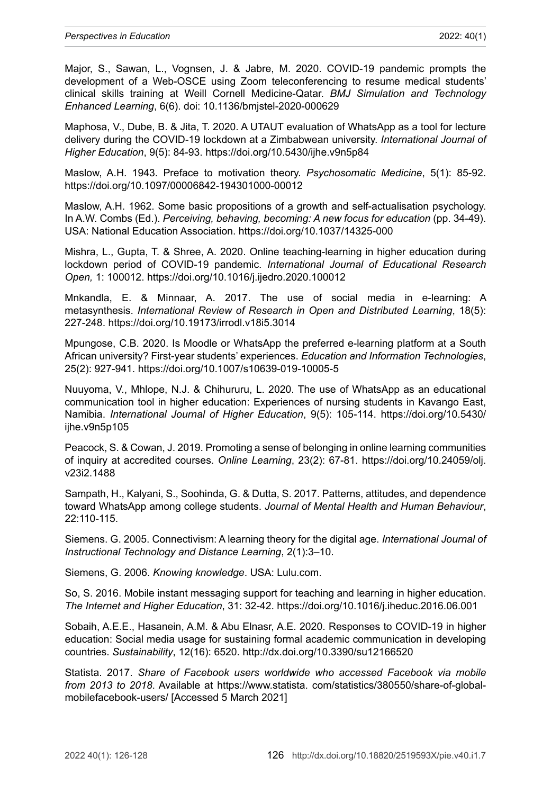Major, S., Sawan, L., Vognsen, J. & Jabre, M. 2020. COVID-19 pandemic prompts the development of a Web-OSCE using Zoom teleconferencing to resume medical students' clinical skills training at Weill Cornell Medicine-Qatar. *BMJ Simulation and Technology Enhanced Learning*, 6(6). doi: [10.1136/bmjstel-2020-000629](https://dx.doi.org/10.1136%2Fbmjstel-2020-000629)

Maphosa, V., Dube, B. & Jita, T. 2020. A UTAUT evaluation of WhatsApp as a tool for lecture delivery during the COVID-19 lockdown at a Zimbabwean university. *International Journal of Higher Education*, 9(5): 84-93. <https://doi.org/10.5430/ijhe.v9n5p84>

Maslow, A.H. 1943. Preface to motivation theory. *Psychosomatic Medicine*, 5(1): 85-92. <https://doi.org/10.1097/00006842-194301000-00012>

Maslow, A.H. 1962. Some basic propositions of a growth and self-actualisation psychology. In A.W. Combs (Ed.). *Perceiving, behaving, becoming: A new focus for education* (pp. 34-49). USA: National Education Association. <https://doi.org/10.1037/14325-000>

Mishra, L., Gupta, T. & Shree, A. 2020. Online teaching-learning in higher education during lockdown period of COVID-19 pandemic. *International Journal of Educational Research Open,* 1: 100012. <https://doi.org/10.1016/j.ijedro.2020.100012>

Mnkandla, E. & Minnaar, A. 2017. The use of social media in e-learning: A metasynthesis. *International Review of Research in Open and Distributed Learning*, 18(5): 227-248. <https://doi.org/10.19173/irrodl.v18i5.3014>

Mpungose, C.B. 2020. Is Moodle or WhatsApp the preferred e-learning platform at a South African university? First-year students' experiences. *Education and Information Technologies*, 25(2): 927-941. <https://doi.org/10.1007/s10639-019-10005-5>

Nuuyoma, V., Mhlope, N.J. & Chihururu, L. 2020. The use of WhatsApp as an educational communication tool in higher education: Experiences of nursing students in Kavango East, Namibia. *International Journal of Higher Education*, 9(5): 105-114. [https://doi.org/10.5430/](https://doi.org/10.5430/ijhe.v9n5p105) [ijhe.v9n5p105](https://doi.org/10.5430/ijhe.v9n5p105)

Peacock, S. & Cowan, J. 2019. Promoting a sense of belonging in online learning communities of inquiry at accredited courses. *Online Learning*, 23(2): 67-81. [https://doi.org/10.24059/olj.](https://doi.org/10.24059/olj.v23i2.1488) [v23i2.1488](https://doi.org/10.24059/olj.v23i2.1488)

Sampath, H., Kalyani, S., Soohinda, G. & Dutta, S. 2017. Patterns, attitudes, and dependence toward WhatsApp among college students. *Journal of Mental Health and Human Behaviour*, 22:110-115.

Siemens. G. 2005. Connectivism: A learning theory for the digital age. *International Journal of Instructional Technology and Distance Learning*, 2(1):3–10.

Siemens, G. 2006. *Knowing knowledge*. USA: [Lulu.com.](http://Lulu.com)

So, S. 2016. Mobile instant messaging support for teaching and learning in higher education. *The Internet and Higher Education*, 31: 32-42.<https://doi.org/10.1016/j.iheduc.2016.06.001>

Sobaih, A.E.E., Hasanein, A.M. & Abu Elnasr, A.E. 2020. Responses to COVID-19 in higher education: Social media usage for sustaining formal academic communication in developing countries. *Sustainability*, 12(16): 6520.<http://dx.doi.org/10.3390/su12166520>

Statista. 2017. *Share of Facebook users worldwide who accessed Facebook via mobile from 2013 to 2018*. Available at https://www.statista. com/statistics/380550/share-of-globalmobilefacebook-users/ [Accessed 5 March 2021]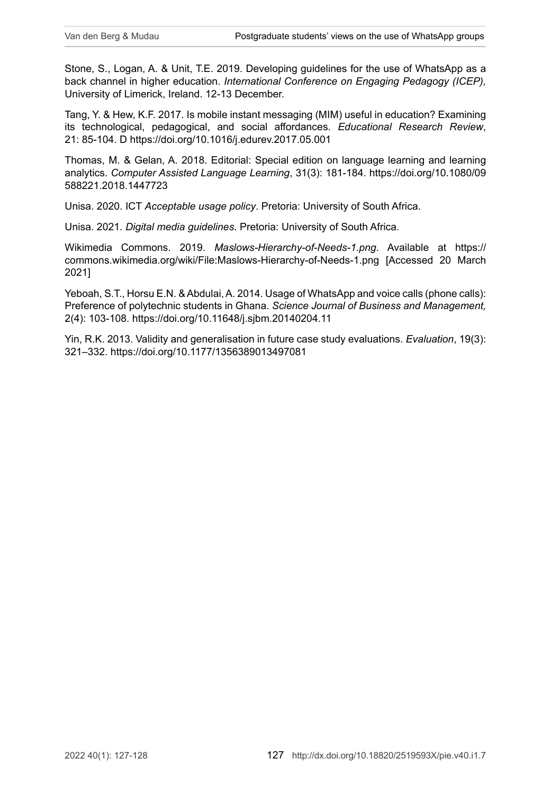Stone, S., Logan, A. & Unit, T.E. 2019. Developing guidelines for the use of WhatsApp as a back channel in higher education. *International Conference on Engaging Pedagogy (ICEP),* University of Limerick, Ireland. 12-13 December.

Tang, Y. & Hew, K.F. 2017. Is mobile instant messaging (MIM) useful in education? Examining its technological, pedagogical, and social affordances. *Educational Research Review*, 21: 85-104. D <https://doi.org/10.1016/j.edurev.2017.05.001>

Thomas, M. & Gelan, A. 2018. Editorial: Special edition on language learning and learning analytics. *Computer Assisted Language Learning*, 31(3): 181-184. [https://doi.org/10.1080/09](https://doi.org/10.1080/09588221.2018.1447723) [588221.2018.1447723](https://doi.org/10.1080/09588221.2018.1447723)

Unisa. 2020. ICT *Acceptable usage policy*. Pretoria: University of South Africa.

Unisa. 2021. *Digital media guidelines*. Pretoria: University of South Africa.

Wikimedia Commons. 2019. *Maslows-Hierarchy-of-Needs-1.png*. Available at [https://](https://commons.wikimedia.org/wiki/File:Maslows-Hierarchy-of-Needs-1.png) [commons.wikimedia.org/wiki/File:Maslows-Hierarchy-of-Needs-1.png](https://commons.wikimedia.org/wiki/File:Maslows-Hierarchy-of-Needs-1.png) [Accessed 20 March 2021]

Yeboah, S.T., Horsu E.N. & Abdulai, A. 2014. Usage of WhatsApp and voice calls (phone calls): Preference of polytechnic students in Ghana. *Science Journal of Business and Management,* 2(4): 103-108. <https://doi.org/10.11648/j.sjbm.20140204.11>

Yin, R.K. 2013. Validity and generalisation in future case study evaluations. *Evaluation*, 19(3): 321–332. <https://doi.org/10.1177/1356389013497081>